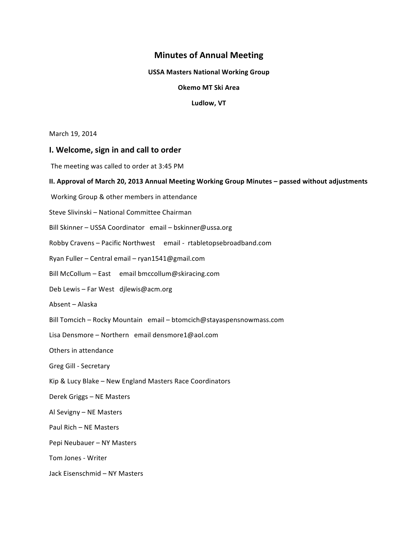# **Minutes of Annual Meeting**

#### **USSA Masters National Working Group**

#### **Okemo MT Ski Area**

#### Ludlow, VT

March 19, 2014

## **I.** Welcome, sign in and call to order

The meeting was called to order at 3:45 PM

#### **II. Approval of March 20, 2013 Annual Meeting Working Group Minutes – passed without adjustments**

Working Group & other members in attendance

Steve Slivinski – National Committee Chairman

Bill Skinner - USSA Coordinator email - bskinner@ussa.org

Robby Cravens - Pacific Northwest email - rtabletopsebroadband.com

Ryan Fuller – Central email – ryan1541@gmail.com

Bill McCollum – East email bmccollum@skiracing.com

Deb Lewis - Far West djlewis@acm.org

Absent – Alaska

Bill Tomcich – Rocky Mountain email – btomcich@stayaspensnowmass.com

Lisa Densmore - Northern email densmore1@aol.com

Others in attendance

Greg Gill - Secretary

Kip & Lucy Blake - New England Masters Race Coordinators

Derek Griggs – NE Masters 

Al Sevigny – NE Masters

Paul Rich – NE Masters

Pepi Neubauer - NY Masters

Tom Jones - Writer

Jack Eisenschmid – NY Masters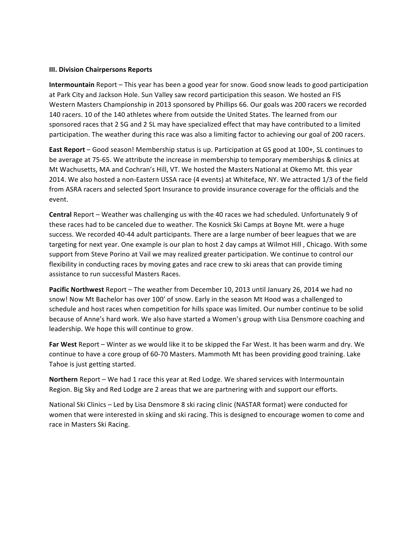## **III. Division Chairpersons Reports**

**Intermountain** Report – This year has been a good year for snow. Good snow leads to good participation at Park City and Jackson Hole. Sun Valley saw record participation this season. We hosted an FIS Western Masters Championship in 2013 sponsored by Phillips 66. Our goals was 200 racers we recorded 140 racers. 10 of the 140 athletes where from outside the United States. The learned from our sponsored races that 2 SG and 2 SL may have specialized effect that may have contributed to a limited participation. The weather during this race was also a limiting factor to achieving our goal of 200 racers.

**East Report** – Good season! Membership status is up. Participation at GS good at 100+, SL continues to be average at 75-65. We attribute the increase in membership to temporary memberships & clinics at Mt Wachusetts, MA and Cochran's Hill, VT. We hosted the Masters National at Okemo Mt. this year 2014. We also hosted a non-Eastern USSA race (4 events) at Whiteface, NY. We attracted 1/3 of the field from ASRA racers and selected Sport Insurance to provide insurance coverage for the officials and the event.

**Central** Report – Weather was challenging us with the 40 races we had scheduled. Unfortunately 9 of these races had to be canceled due to weather. The Kosnick Ski Camps at Boyne Mt. were a huge success. We recorded 40-44 adult participants. There are a large number of beer leagues that we are targeting for next year. One example is our plan to host 2 day camps at Wilmot Hill, Chicago. With some support from Steve Porino at Vail we may realized greater participation. We continue to control our flexibility in conducting races by moving gates and race crew to ski areas that can provide timing assistance to run successful Masters Races.

**Pacific Northwest** Report - The weather from December 10, 2013 until January 26, 2014 we had no snow! Now Mt Bachelor has over 100' of snow. Early in the season Mt Hood was a challenged to schedule and host races when competition for hills space was limited. Our number continue to be solid because of Anne's hard work. We also have started a Women's group with Lisa Densmore coaching and leadership. We hope this will continue to grow.

Far West Report – Winter as we would like it to be skipped the Far West. It has been warm and dry. We continue to have a core group of 60-70 Masters. Mammoth Mt has been providing good training. Lake Tahoe is just getting started.

**Northern** Report – We had 1 race this year at Red Lodge. We shared services with Intermountain Region. Big Sky and Red Lodge are 2 areas that we are partnering with and support our efforts.

National Ski Clinics - Led by Lisa Densmore 8 ski racing clinic (NASTAR format) were conducted for women that were interested in skiing and ski racing. This is designed to encourage women to come and race in Masters Ski Racing.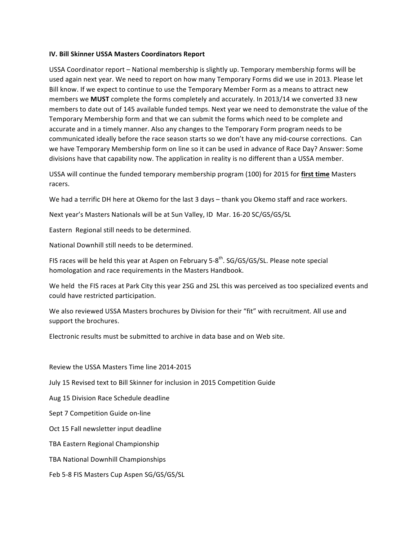## **IV. Bill Skinner USSA Masters Coordinators Report**

USSA Coordinator report - National membership is slightly up. Temporary membership forms will be used again next year. We need to report on how many Temporary Forms did we use in 2013. Please let Bill know. If we expect to continue to use the Temporary Member Form as a means to attract new members we **MUST** complete the forms completely and accurately. In 2013/14 we converted 33 new members to date out of 145 available funded temps. Next year we need to demonstrate the value of the Temporary Membership form and that we can submit the forms which need to be complete and accurate and in a timely manner. Also any changes to the Temporary Form program needs to be communicated ideally before the race season starts so we don't have any mid-course corrections. Can we have Temporary Membership form on line so it can be used in advance of Race Day? Answer: Some divisions have that capability now. The application in reality is no different than a USSA member.

USSA will continue the funded temporary membership program (100) for 2015 for first time Masters racers.

We had a terrific DH here at Okemo for the last 3 days – thank you Okemo staff and race workers.

Next year's Masters Nationals will be at Sun Valley, ID Mar. 16-20 SC/GS/GS/SL

Eastern Regional still needs to be determined.

National Downhill still needs to be determined.

FIS races will be held this year at Aspen on February  $5-8^{th}$ . SG/GS/GS/SL. Please note special homologation and race requirements in the Masters Handbook.

We held the FIS races at Park City this year 2SG and 2SL this was perceived as too specialized events and could have restricted participation.

We also reviewed USSA Masters brochures by Division for their "fit" with recruitment. All use and support the brochures.

Electronic results must be submitted to archive in data base and on Web site.

Review the USSA Masters Time line 2014-2015

July 15 Revised text to Bill Skinner for inclusion in 2015 Competition Guide

Aug 15 Division Race Schedule deadline

Sept 7 Competition Guide on-line

Oct 15 Fall newsletter input deadline

TBA Eastern Regional Championship

TBA National Downhill Championships

Feb 5-8 FIS Masters Cup Aspen SG/GS/GS/SL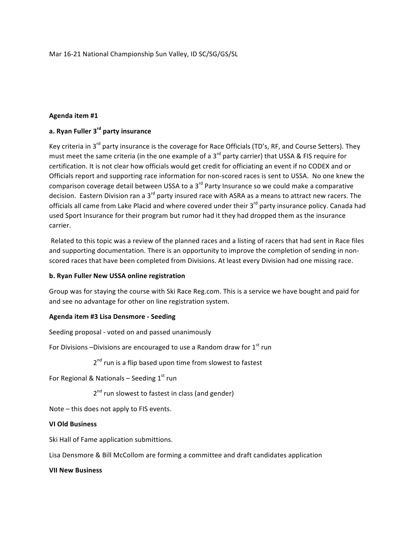Mar 16-21 National Championship Sun Valley, ID SC/SG/GS/SL

## **Agenda item #1**

# **a. Ryan Fuller 3rd party insurance**

Key criteria in 3<sup>rd</sup> party insurance is the coverage for Race Officials (TD's, RF, and Course Setters). They must meet the same criteria (in the one example of a  $3^{rd}$  party carrier) that USSA & FIS require for certification. It is not clear how officials would get credit for officiating an event if no CODEX and or Officials report and supporting race information for non-scored races is sent to USSA. No one knew the comparison coverage detail between USSA to a  $3<sup>rd</sup>$  Party Insurance so we could make a comparative decision. Eastern Division ran a  $3^{rd}$  party insured race with ASRA as a means to attract new racers. The officials all came from Lake Placid and where covered under their  $3<sup>rd</sup>$  party insurance policy. Canada had used Sport Insurance for their program but rumor had it they had dropped them as the insurance carrier. 

Related to this topic was a review of the planned races and a listing of racers that had sent in Race files and supporting documentation. There is an opportunity to improve the completion of sending in nonscored races that have been completed from Divisions. At least every Division had one missing race.

# **b. Ryan Fuller New USSA online registration**

Group was for staying the course with Ski Race Reg.com. This is a service we have bought and paid for and see no advantage for other on line registration system.

# **Agenda item #3 Lisa Densmore - Seeding**

Seeding proposal - voted on and passed unanimously

For Divisions –Divisions are encouraged to use a Random draw for  $1<sup>st</sup>$  run

 $2<sup>nd</sup>$  run is a flip based upon time from slowest to fastest

For Regional & Nationals – Seeding  $1<sup>st</sup>$  run

2<sup>nd</sup> run slowest to fastest in class (and gender)

Note  $-$  this does not apply to FIS events.

#### **VI Old Business**

Ski Hall of Fame application submittions.

Lisa Densmore & Bill McCollom are forming a committee and draft candidates application

**VII New Business**